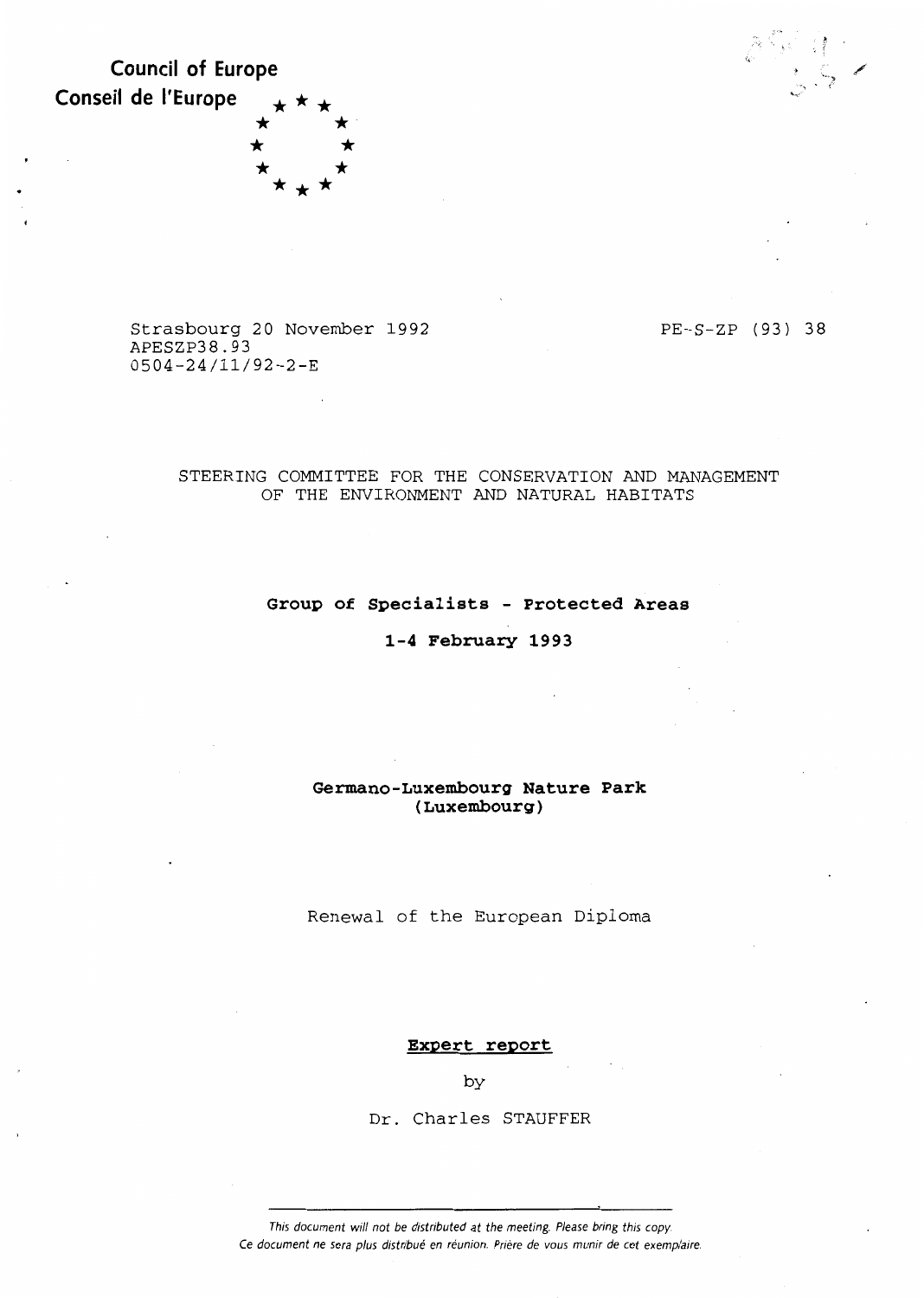**Council of Europe Conseil de l'Europe** \* \* \* \*<br>\* \* \* \*<br>\* \* \* \*



Strasbourg 20 November 1992 APESZP38.93 0504-24/11/92-2-E

PE-S-ZP (93) 38

# STEERING COMMITTEE FOR THE CONSERVATION AND MANAGEMENT OF THE ENVIRONMENT AND NATURAL HABITATS

# **Group of Specialists - Protected Areas**

# **1-4 February 1993**

# **Germano-Luxembourg Nature Park (Luxembourg)**

Renewal of the European Diploma

# **Expert report**

by

Dr. Charles STAUFFER

This document will not be distributed at the meeting. Please bring this copy. Ce document ne sera plus distribué en réunion. Prière de vous munir de cet exemplaire.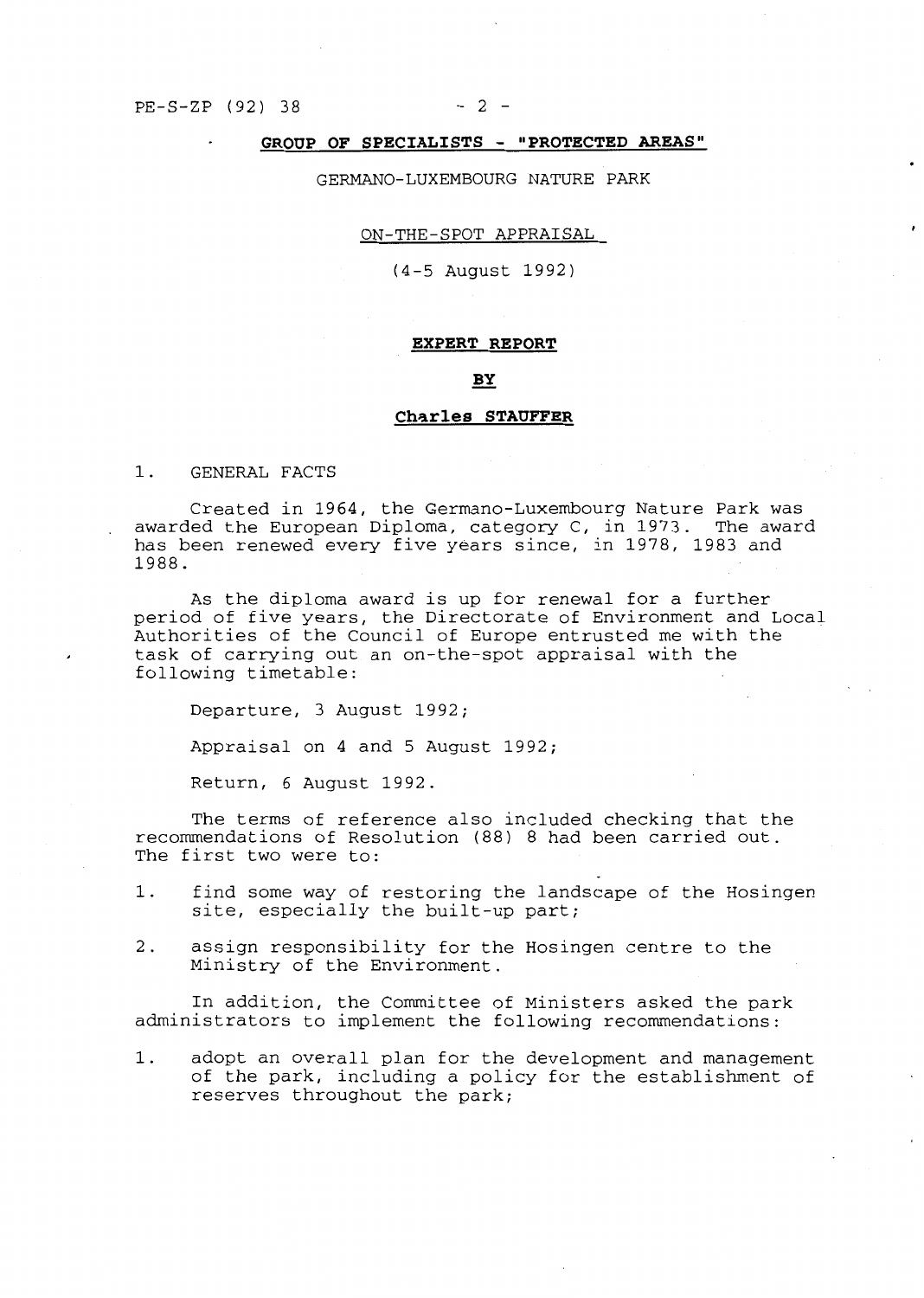# **GROUP OF SPECIALISTS - <sup>11</sup> PROTECTED AREAS <sup>11</sup>**

GERMANO-LUXEMBOURG NATURE PARK

#### ON-THE-SPOT APPRAISAL

(4-5 August 1992)

#### **EXPERT REPORT**

### BY

#### Charles STAUFFER

1. GENERAL FACTS

Created in 1964, the Germano-Luxembourg Nature Park was awarded the European Diploma, category C, in 1973. The award has been renewed every five years since, in 1978, 1983 and 1988.

As the diploma award is up for renewal for a further period of five years, the Directorate of Environment and Local Authorities of the Council of Europe entrusted me with the task of carrying out an on-the-spot appraisal with the following timetable:

Departure, 3 August 1992;

Appraisal on 4 and 5 August 1992;

Return, 6 August 1992.

The terms of reference also included checking that the recommendations of Resolution (88) 8 had been carried out. The first two were to:

- 1. find some way of restoring the landscape of the Hosingen site, especially the built-up part;
- 2. assign responsibility for the Hosingen centre to the Ministry of the Environment.

In addition, the Committee of Ministers asked the park administrators to implement the following recommendations:

1. adopt an overall plan for the development and management of the park, including a policy for the establishment of reserves throughout the park;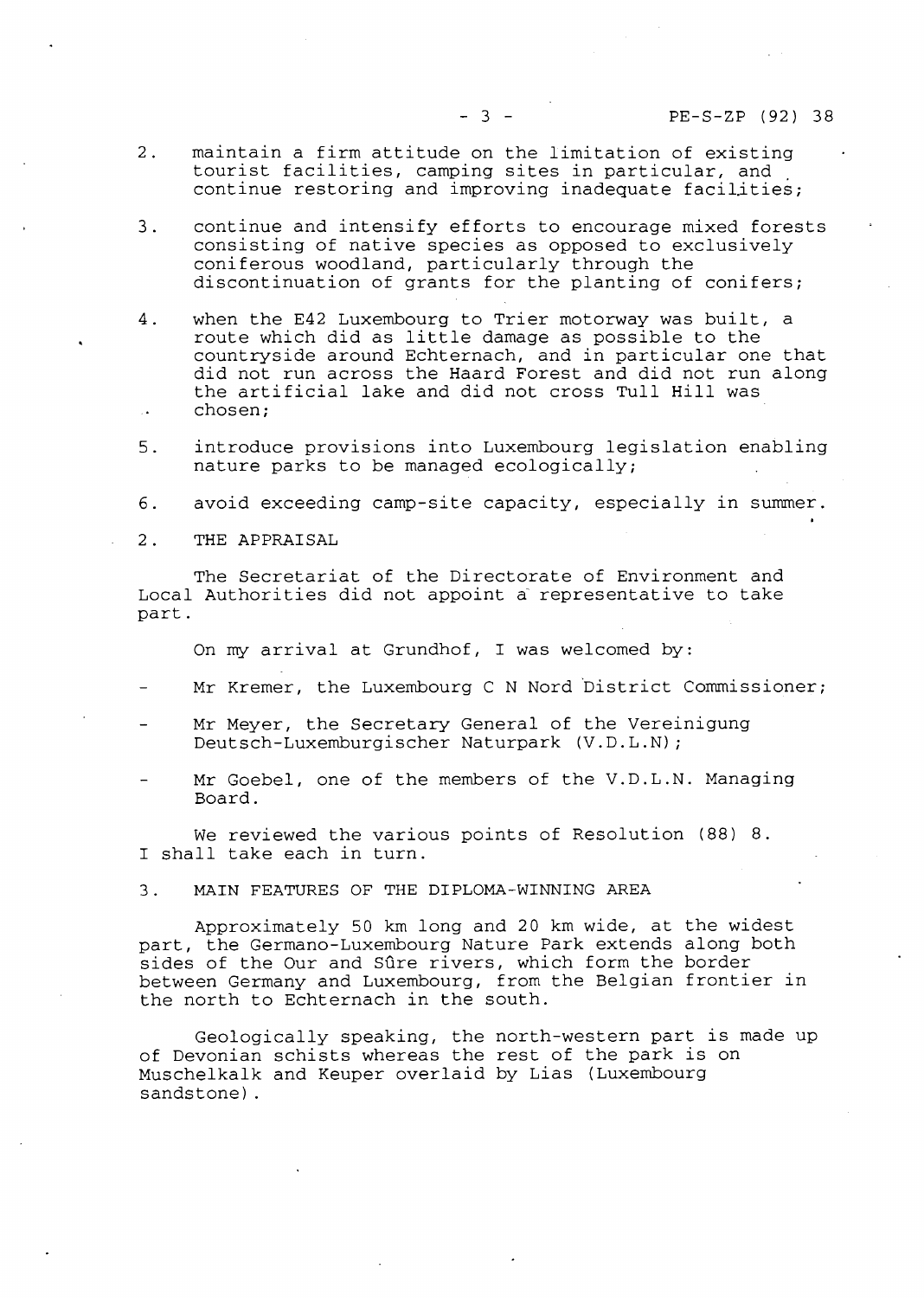- 3 - PE-S-ZP (92) 38

- 2. maintain a firm attitude on the limitation of existing tourist facilities, camping sites in particular, and continue restoring and improving inadequate facilities;
- 3. continue and intensify efforts to encourage mixed forests consisting of native species as opposed to exclusively coniferous woodland, particularly through the discontinuation of grants for the planting of conifers;
- 4. when the E42 Luxembourg to Trier motorway was built, a when the E42 Luxembourg to filer motorway was built,<br>route which did as little damage as possible to the countryside around Echternach, and in particular one that did not run across the Haard Forest and did not run along the artificial lake and did not cross Tull Hill was **chosen;**
- 5. introduce provisions into Luxembourg legislation enabling nature parks to be managed ecologically;
- 6. avoid exceeding camp-site capacity, especially in summer.
- **2. THE APPRAISAL**

The Secretariat of the Directorate of Environment and Local Authorities did not appoint à representative to take part.

On my arrival at Grundhof, I was welcomed by:

- Mr Kremer, the Luxembourg C N Nord District Commissioner;
- Mr Meyer, the Secretary General of the Vereinigung Deutsch-Luxemburgischer Naturpark (V.D.L.N);
- Mr Goebel, one of the members of the V.D.L.N. Managing Board.

We reviewed the various points of Resolution (88) 8. I shall take each in turn.

**3. MAIN FEATURES OF THE DIPLOMA-WINNING AREA** 

Approximately 50 km long and 20 km wide, at the widest part, the Germano-Luxembourg Nature Park extends along both sides of the Our and Sûre rivers, which form the border between Germany and Luxembourg, from the Belgian frontier in the north to Echternach in the south.

Geologically speaking, the north-western part is made up of Devonian schists whereas the rest of the park is on Muschelkalk and Keuper overlaid by Lias (Luxembourg sandstone).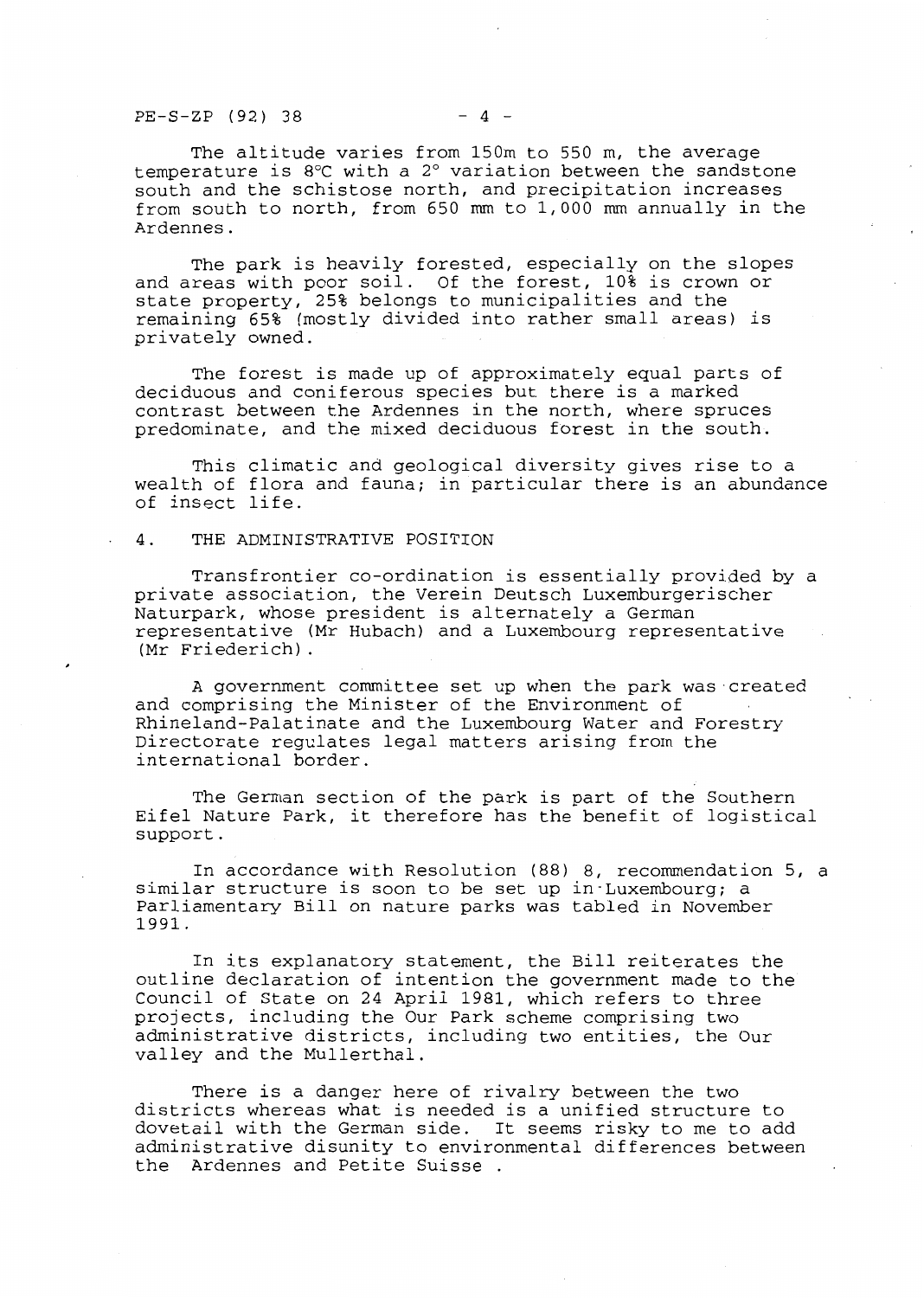$PE-S-ZP$  (92) 38 - 4 -

The altitude varies from 150m to 550 m, the average temperature is 8°C with a 2° variation between the sandstone south and the schistose north, and precipitation increases from south to north, from 650 mm to 1,000 mm annually in the Ardennes.

The park is heavily forested, especially on the slopes and areas with poor soil. Of the forest, 10% is crown or state property, 25% belongs to municipalities and the remaining 65% (mostly divided into rather small areas) is privately owned.

The forest is made up of approximately equal parts of deciduous and coniferous species but there is a marked contrast between the Ardennes in the north, where spruces predominate, and the mixed deciduous forest in the south.

This climatic and geological diversity gives rise to a wealth of flora and fauna; in particular there is an abundance of insect life.

#### 4. THE ADMINISTRATIVE POSITION

Transfrontier co-ordination is essentially provided by a private association, the Verein Deutsch Luxemburgerischer Naturpark, whose president is alternately a German representative (Mr Hubach) and a Luxembourg representative (Mr Friederich).

A government committee set up when the park was created and comprising the Minister of the Environment of Rhineland-Palatinate and the Luxembourg Water and Forestry Directorate regulates legal matters arising from the international border.

The German section of the park is part of the Southern Eifel Nature Park, it therefore has the benefit of logistical support.

In accordance with Resolution (88) 8, recommendation 5, a similar structure is soon to be set up in·Luxembourg; a Parliamentary Bill on nature parks was tabled in November 1991.

In its explanatory statement, the Bill reiterates the outline declaration of intention the government made to the Council of State on 24 April 1981, which refers to three projects, including the Our Park scheme comprising two administrative districts, including two entities, the Our valley and the Mullerthal.

There is a danger here of rivalry between the two districts whereas what is needed is a unified structure to dovetail with the German side. It seems risky to me to add administrative disunity to environmental differences between the Ardennes and Petite Suisse .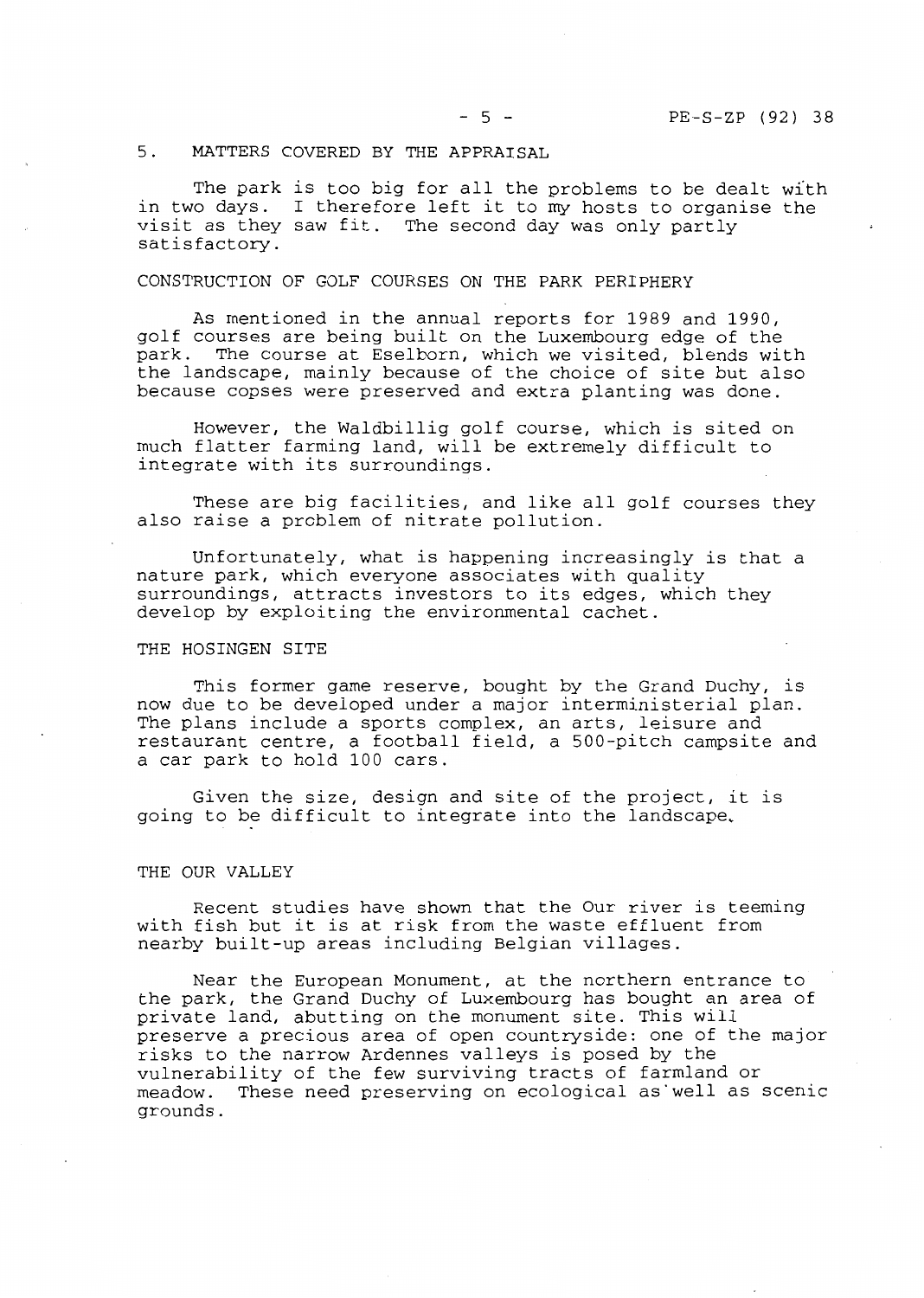# 5. MATTERS COVERED BY THE APPRAISAL

The park is too big for all the problems to be dealt with in two days. I therefore left it to my hosts to organise the visitas they saw fit. The second day was only partly satisfactory.

# CONSTRUCTION OF GOLF COURSES ON THE PARK PERIPHERY

As mentioned in the annual reports for 1989 and 1990, golf courses are being built on the Luxembourg edge of the park. The course at Eselborn, which we visited, blends with the landscape, mainly because of the choice of site but also because copses were preserved and extra planting was done.

However, the Waldbillig golf course, which is sited on much flatter farming land, will be extremely difficult to integrate with its surroundings.

These are big facilities, and like all golf courses they also raise a problem of nitrate pollution.

Unfortunately, what is happening increasingly is that a nature park, which everyone associates with quality surroundings, attracts investors to its edges, which they develop by exploiting the environmental cachet.

#### THE HOSINGEN SITE

This former game reserve, bought by the Grand Duchy, is now due to be developed under a major interministerial plan. The plans include a sports complex, an arts, leisure and restaurant centre, a football field, a 500-pitch campsite and a car park to hold 100 cars.

Given the size, design and site of the project, it is going to be difficult to integrate into the landscape,

#### THE OUR VALLEY

Recent studies have shown that the Our river is teeming with fish but it is at risk from the waste effluent from nearby built-up areas including Belgian villages.

Near the European Monument, at the northern entrance to the park, the Grand Duchy of Luxembourg has bought an area of private land, abutting on the monument site. This will preserve a precious area of open countryside: one of the major risks to the narrow Ardennes valleys is posed by the vulnerability of the few surviving tracts of farmland or<br>meadow. These need preserving on ecological as well as : These need preserving on ecological as well as scenic grounds.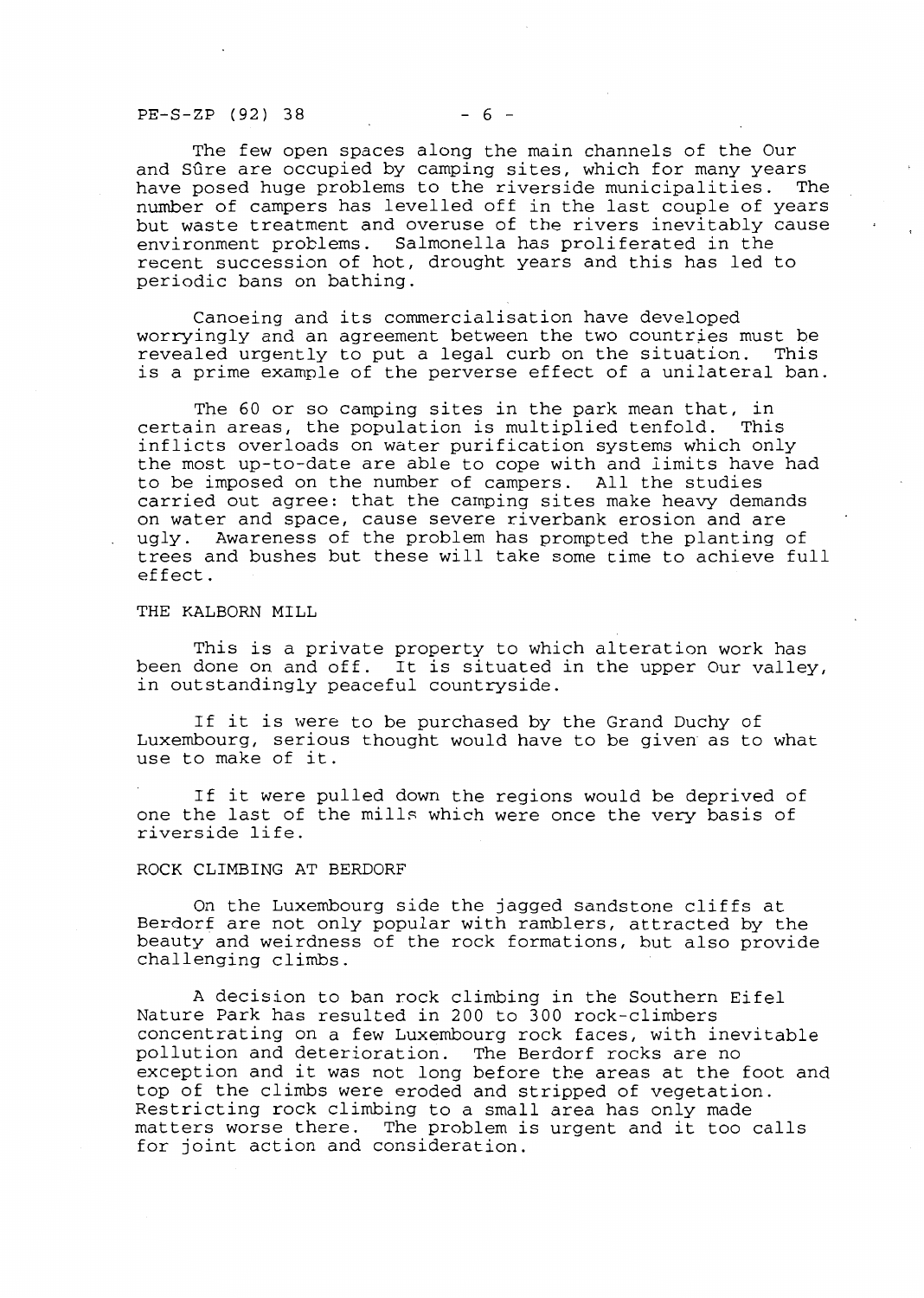$PE-S-ZP$  (92) 38 - 6 -

The few open spaces along the main channels of the Our and Sûre are occupied by camping sites, which for many years have posed huge problems to the riverside municipalities. The number of campers has levelled off in the last couple of years but waste treatment and overuse of the rivers inevitably cause environment problems. Salmonella has proliferated in the recent succession of hot, drought years and this has led to periodic bans on bathing.

Canoeing and its commercialisation have developed worryingly and an agreement between the two countries must be revealed urgently to put a legal curb on the situation. This is a prime example of the perverse effect of a unilateral ban.

The 60 or so camping sites in the park mean that, in<br>in areas, the population is multiplied tenfold. This certain areas, the population is multiplied tenfold. inflicts overloads on water purification systems which only the most up-to-date are able to cope with and limits have had to be imposed on the number of campers. All the studies carried out agree: that the camping sites make heavy demands on water and space, cause severe riverbank erosion and are ugly. Awareness of the problem has prompted the planting of trees and bushes but these will take some time to achieve full effect.

#### THE KALBORN MILL

This is a private property to which alteration work has been done on and off. It is situated in the upper Our valley, in outstandingly peaceful countryside.

If it is were to be purchased by the Grand Duchy of Luxembourg, serious thought would have to be given as to what use to make of it.

If it were pulled down the regions would be deprived of one the last of the mills which were once the very basis of riverside life.

#### ROCK CLIMBING AT BERDORF

On the Luxembourg side the jagged sandstone cliffs at Berdorf are not only popular with ramblers, attracted by the beauty and weirdness of the rock formations, but also provide challenging climbs.

A decision to ban rock climbing in the Southern Eifel Nature Park has resulted in 200 to 300 rock-climbers concentrating on a few Luxembourg rock faces, with inevitable pollution and deterioration. The Berdorf rocks are no exception and it was not long before the areas at the foot and top of the climbs were eroded and stripped of vegetation. Restricting rock climbing to a small area has only made matters worse there. The problem is urgent and it too calls for joint action and consideration.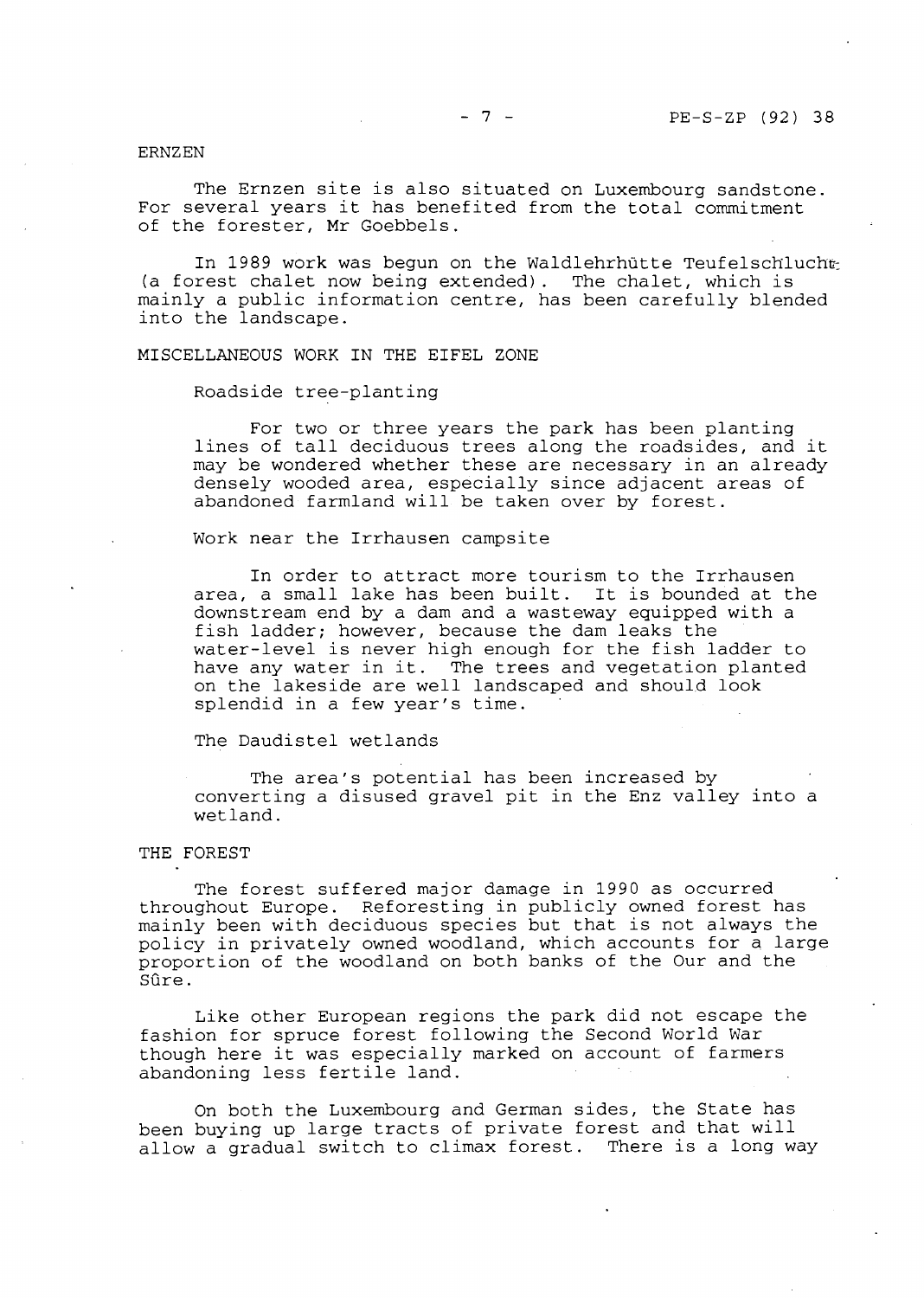ERNZEN

The Ernzen site is also situated on Luxembourg sandstone. For several years it has benefited from the total commitment of the forester, Mr Goebbels.

In 1989 work was begun on the Waldlehrhütte Teufelschlucht (a forest chalet now being extended). The chalet, which is mainly a public information centre, has been carefully blended into the landscape.

MISCELLANEOUS WORK IN THE EIFEL ZONE

Roadside tree-planting

For two or three years the park has been planting lines of tall deciduous trees along the roadsides, and it may be wondered whether these are necessary in an already densely wooded area, especially since adjacent areas of abandoned farmland will be taken over by forest.

Work near the Irrhausen campsite

In order to attract more tourism to the Irrhausen area, a small lake has been built. It is bounded at the downstream end by a dam and a wasteway equipped with a fish ladder; however, because the dam leaks the water-level is never high enough for the fish ladder to water-rever is never high enough for the fish fadder to<br>have any water in it. The trees and vegetation planted have any water in it. The trees and vegetation planted<br>on the lakeside are well landscaped and should look splendid in a few year's time.

The Daudistel wetlands

The area's potential has been increased by converting a disused gravel pit in the Enz valley into a wetland.

#### THE FOREST

The forest suffered major damage in 1990 as occurred throughout Europe. Reforesting in publicly owned forest has mainly been with deciduous species but that is not always the policy in privately owned woodland, which accounts for a large proportion of the woodland on both banks of the Our and the Sûre.

Like other European regions the park did not escape the fashion for spruce forest following the Second World War though here it was especially marked on account of farmers abandoning less fertile land.

On both the Luxembourg and German sides, the State has been buying up large tracts of private forest and that will allow a gradual switch to climax forest. There is a long way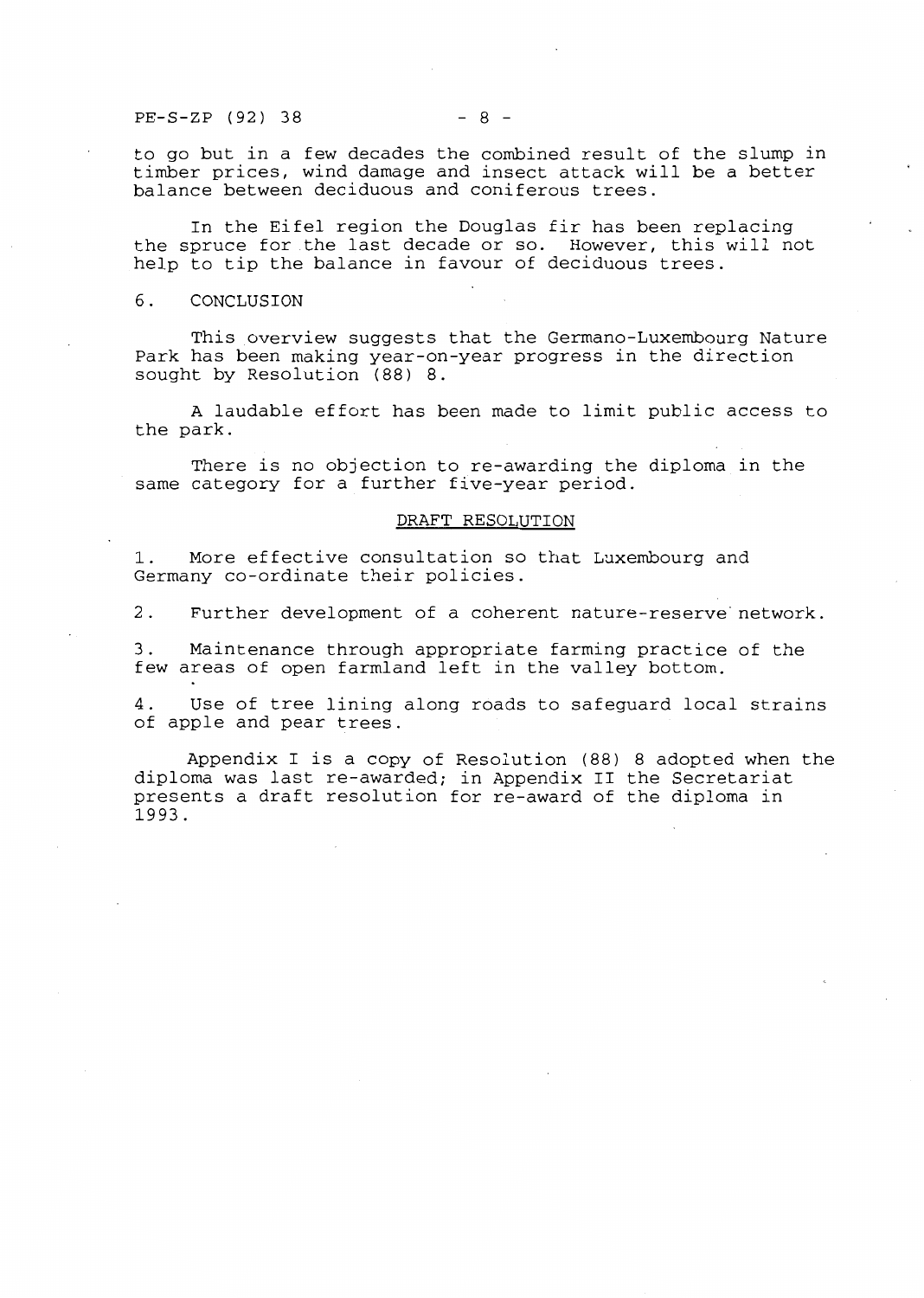PE-S-ZP (92) 38 - 8 -

to go but in a few decades the combined result of the slump in timber prices, **wind** damage and insect attack will be a better balance between deciduous and coniferous trees.

In the Eifel region the Douglas fir has been replacing the spruce for the last decade or so. However, this will not help to tip the balance in favour of deciduous trees.

### 6. CONCLUSION

This overview suggests that the Germano-Luxembourg Nature Park has been making year-on-year progress in the direction sought by Resolution (88) 8.

A laudable effort has been made to limit public access to the park.

There is no objection to re-awarding the diploma in the same category for a further five-year period.

#### DRAFT RESOLUTION

1. More effective consultation so that Luxembourg and Germany co-ordinate their policies.

2. Further development of a coherent nature-reserve network.

3. Maintenance through appropriate farming practice of the few areas of open farmland left in the valley bottom.

4. Use of tree lining along roads to safeguard local strains of apple and pear trees.

Appendix I is a copy of Resolution (88) 8 adopted when the diploma was last re-awarded; in Appendix II the Secretariat presents a draft resolution for re-award of the diploma in 1993.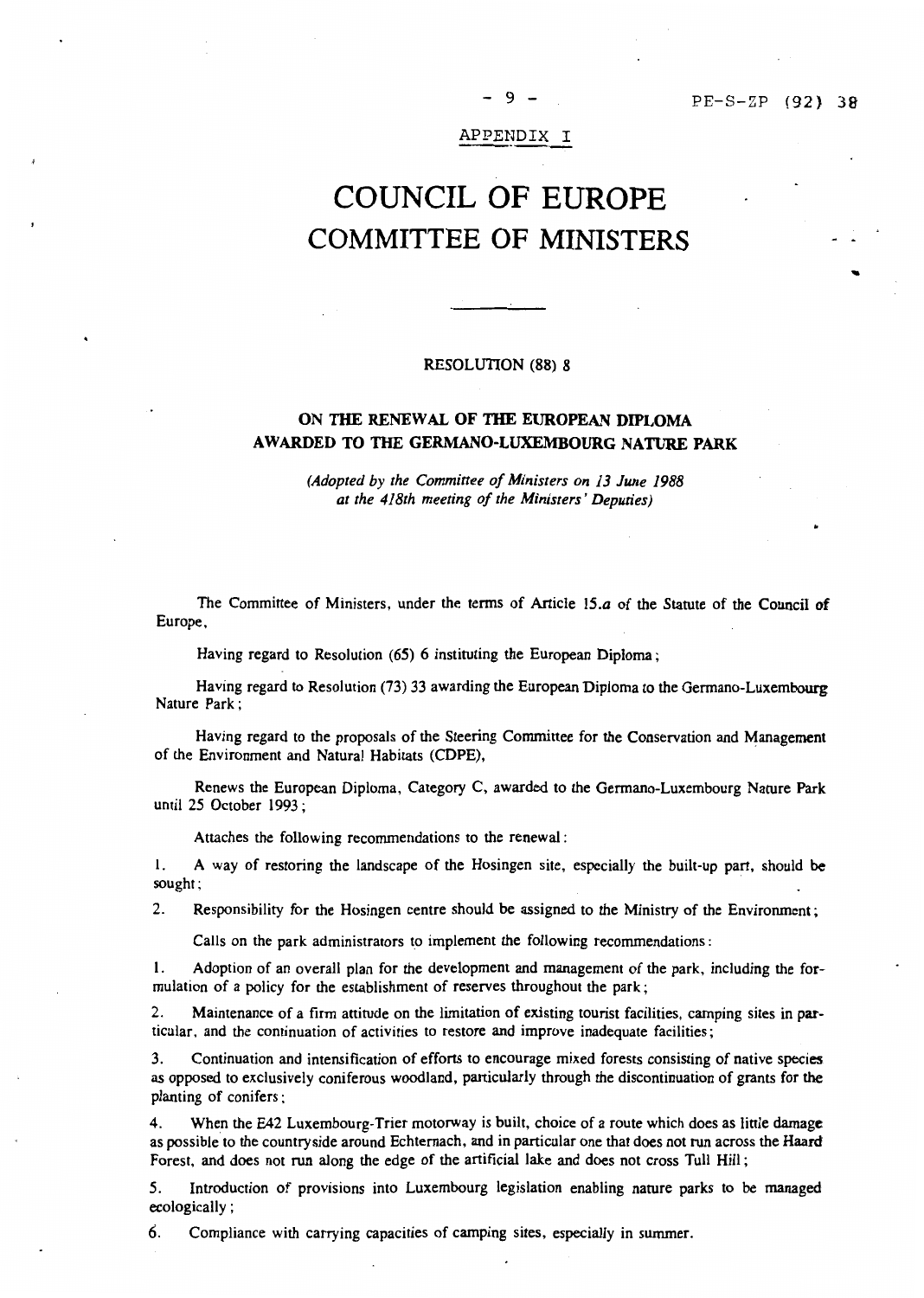...

APPENDIX I

- 9 -

# COUNCIL OF EUROPE COMMITTEE OF MINISTERS

#### RESOLUTION **(88) 8**

# **ON THE RENEW AL OF THE EUROPEAN DIPLOMA AWARDED TO THE GERMANO-LUXEMBOURG NATURE PARK**

*(Adopted by the Committee of Ministers on 13 June 1988 at the 418th meeting of the Ministers' Deputies)* 

The Committee of Ministers, under the terms of Article 15.a of the Statute of the Council of Europe,

Having regard to Resolution (65) 6 instituting the European Diploma;

Having regard to Resolution (73) 33 awarding the European Diploma to the Germano-Luxembourg Nature Park;

Having regard to the proposals of the Steering Committee for the Conservation and Management of the Environment and Natural Habitats (CDPE),

Renews the European Diploma, Category C, awarded to the Germano-Luxembourg Nature Park until 25 October 1993 ;

Attaches the following recommendations to the renewal :

1. A way of restoring the landscape of the Hosingen site, especially the built-up part, should be sought;

2. Responsibility for the Hosingen centre should be assigned to the Ministry of the Environment;

Calls on the park administrators to implement the following recommendations :

l. Adoption of an overall plan for the development and management of the park, including the formulation of a policy for the establishment of reserves throughout the park;

2. Maintenance of a firrn attitude on the limitation of existing tourist facilities, camping sites in particular. and the continuation of activities to restore and improve inadequate facilities;

3. Continuation and intensification of efforts to encourage mixed forests consisting of native species as opposed to exclusively coniferous woodland, particularly through the discontinuation of grants for the planting of conifers ;

4. When the E42 Luxembourg-Trier motorway is built, choice of a route which does as little **damage**  as possible to the countryside around Echternach, and in particular one that does not run across the Haard Forest, and does not run along the edge of the artificial lake and does not cross Tull Hill;

5. Introduction of provisions into Luxembourg legislation enabling nature parks to be managed ecologically ;

6. Compliance with carrying capacities of camping sites, especially in summer.